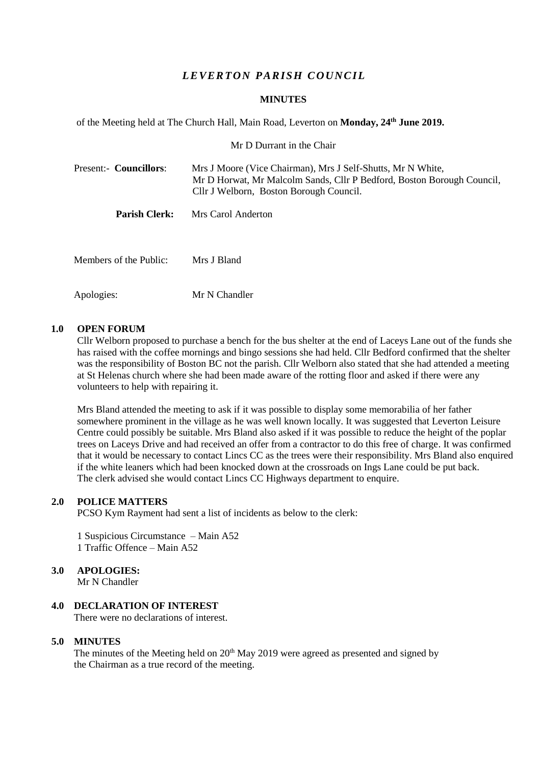# *L E VER T ON PARISH C OU NC IL*

#### **MINUTES**

of the Meeting held at The Church Hall, Main Road, Leverton on **Monday, 24th June 2019.**

Mr D Durrant in the Chair

| Present:- Councillors: | Mrs J Moore (Vice Chairman), Mrs J Self-Shutts, Mr N White,<br>Mr D Horwat, Mr Malcolm Sands, Cllr P Bedford, Boston Borough Council,<br>Cllr J Welborn, Boston Borough Council. |  |
|------------------------|----------------------------------------------------------------------------------------------------------------------------------------------------------------------------------|--|
| <b>Parish Clerk:</b>   | Mrs Carol Anderton                                                                                                                                                               |  |
| Members of the Public: | Mrs J Bland                                                                                                                                                                      |  |

Apologies: Mr N Chandler

#### **1.0 OPEN FORUM**

Cllr Welborn proposed to purchase a bench for the bus shelter at the end of Laceys Lane out of the funds she has raised with the coffee mornings and bingo sessions she had held. Cllr Bedford confirmed that the shelter was the responsibility of Boston BC not the parish. Cllr Welborn also stated that she had attended a meeting at St Helenas church where she had been made aware of the rotting floor and asked if there were any volunteers to help with repairing it.

Mrs Bland attended the meeting to ask if it was possible to display some memorabilia of her father somewhere prominent in the village as he was well known locally. It was suggested that Leverton Leisure Centre could possibly be suitable. Mrs Bland also asked if it was possible to reduce the height of the poplar trees on Laceys Drive and had received an offer from a contractor to do this free of charge. It was confirmed that it would be necessary to contact Lincs CC as the trees were their responsibility. Mrs Bland also enquired if the white leaners which had been knocked down at the crossroads on Ings Lane could be put back. The clerk advised she would contact Lincs CC Highways department to enquire.

### **2.0 POLICE MATTERS**

PCSO Kym Rayment had sent a list of incidents as below to the clerk:

1 Suspicious Circumstance – Main A52 1 Traffic Offence – Main A52

### **3.0 APOLOGIES:**

Mr N Chandler

# **4.0 DECLARATION OF INTEREST**

There were no declarations of interest.

## **5.0 MINUTES**

The minutes of the Meeting held on  $20<sup>th</sup>$  May 2019 were agreed as presented and signed by the Chairman as a true record of the meeting.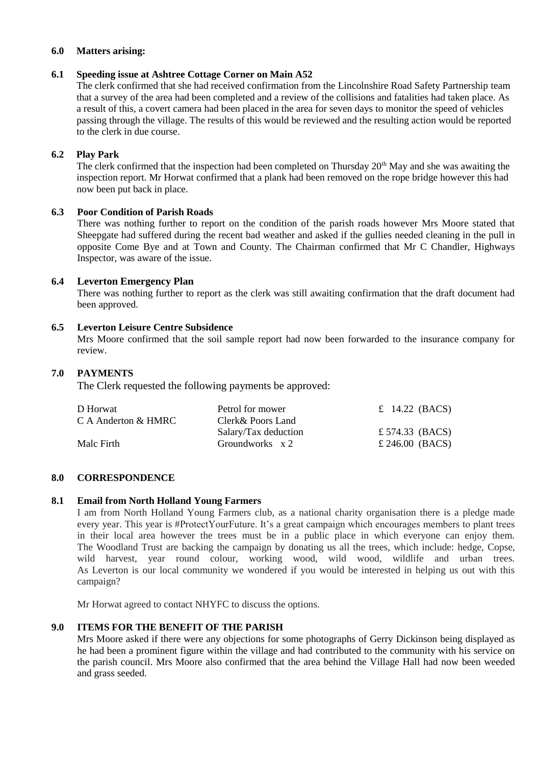#### **6.0 Matters arising:**

### **6.1 Speeding issue at Ashtree Cottage Corner on Main A52**

The clerk confirmed that she had received confirmation from the Lincolnshire Road Safety Partnership team that a survey of the area had been completed and a review of the collisions and fatalities had taken place. As a result of this, a covert camera had been placed in the area for seven days to monitor the speed of vehicles passing through the village. The results of this would be reviewed and the resulting action would be reported to the clerk in due course.

### **6.2 Play Park**

The clerk confirmed that the inspection had been completed on Thursday 20<sup>th</sup> May and she was awaiting the inspection report. Mr Horwat confirmed that a plank had been removed on the rope bridge however this had now been put back in place.

### **6.3 Poor Condition of Parish Roads**

There was nothing further to report on the condition of the parish roads however Mrs Moore stated that Sheepgate had suffered during the recent bad weather and asked if the gullies needed cleaning in the pull in opposite Come Bye and at Town and County. The Chairman confirmed that Mr C Chandler, Highways Inspector, was aware of the issue.

## **6.4 Leverton Emergency Plan**

There was nothing further to report as the clerk was still awaiting confirmation that the draft document had been approved.

### **6.5 Leverton Leisure Centre Subsidence**

Mrs Moore confirmed that the soil sample report had now been forwarded to the insurance company for review.

# **7.0 PAYMENTS**

The Clerk requested the following payments be approved:

| D Horwat            | Petrol for mower     | $\pounds$ 14.22 (BACS) |
|---------------------|----------------------|------------------------|
| C A Anderton & HMRC | Clerk& Poors Land    |                        |
|                     | Salary/Tax deduction | £ 574.33 (BACS)        |
| Malc Firth          | Groundworks $x 2$    | £ 246.00 (BACS)        |
|                     |                      |                        |

## **8.0 CORRESPONDENCE**

### **8.1 Email from North Holland Young Farmers**

I am from North Holland Young Farmers club, as a national charity organisation there is a pledge made every year. This year is #ProtectYourFuture. It's a great campaign which encourages members to plant trees in their local area however the trees must be in a public place in which everyone can enjoy them. The Woodland Trust are backing the campaign by donating us all the trees, which include: hedge, Copse, wild harvest, year round colour, working wood, wild wood, wildlife and urban trees. As Leverton is our local community we wondered if you would be interested in helping us out with this campaign?

Mr Horwat agreed to contact NHYFC to discuss the options.

### **9.0 ITEMS FOR THE BENEFIT OF THE PARISH**

Mrs Moore asked if there were any objections for some photographs of Gerry Dickinson being displayed as he had been a prominent figure within the village and had contributed to the community with his service on the parish council. Mrs Moore also confirmed that the area behind the Village Hall had now been weeded and grass seeded.